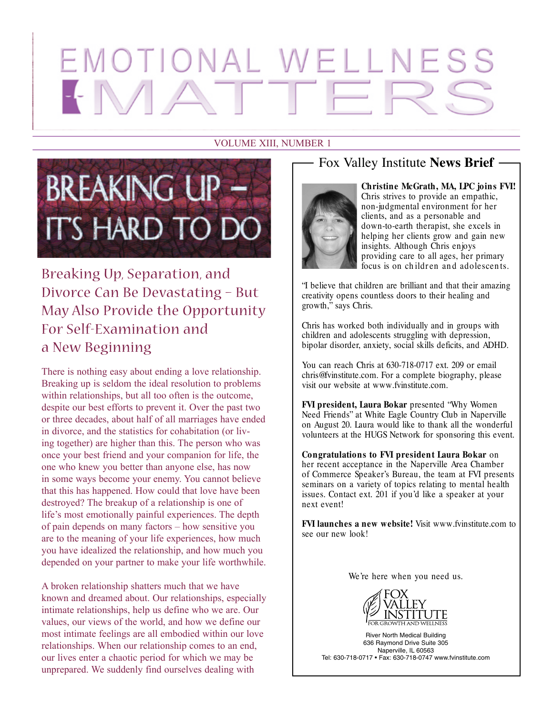# EMOTIONAL WELLNES

#### VOLUME XIII, NUMBER 1



Breaking Up, Separation, and Divorce Can Be Devastating – But May Also Provide the Opportunity For Self-Examination and a New Beginning

There is nothing easy about ending a love relationship. Breaking up is seldom the ideal resolution to problems within relationships, but all too often is the outcome, despite our best efforts to prevent it. Over the past two or three decades, about half of all marriages have ended in divorce, and the statistics for cohabitation (or living together) are higher than this. The person who was once your best friend and your companion for life, the one who knew you better than anyone else, has now in some ways become your enemy. You cannot believe that this has happened. How could that love have been destroyed? The breakup of a relationship is one of life's most emotionally painful experiences. The depth of pain depends on many factors – how sensitive you are to the meaning of your life experiences, how much you have idealized the relationship, and how much you depended on your partner to make your life worthwhile.

A broken relationship shatters much that we have known and dreamed about. Our relationships, especially intimate relationships, help us define who we are. Our values, our views of the world, and how we define our most intimate feelings are all embodied within our love relationships. When our relationship comes to an end, our lives enter a chaotic period for which we may be unprepared. We suddenly find ourselves dealing with

#### Fox Valley Institute **News Brief**



**Christine McGrath, MA, LPC joins FVI!** Chris strives to provide an empathic, non-judgmental environment for her clients, and as a personable and down-to-earth therapist, she excels in helping her clients grow and gain new insights. Although Chris enjoys providing care to all ages, her primary focus is on children and adolescents.

"I believe that children are brilliant and that their amazing creativity opens countless doors to their healing and growth," says Chris.

Chris has worked both individually and in groups with children and adolescents struggling with depression, bipolar disorder, anxiety, social skills deficits, and ADHD.

You can reach Chris at 630-718-0717 ext. 209 or email chris@fvinstitute.com. For a complete biography, please visit our website at www.fvinstitute.com.

**FVI president, Laura Bokar** presented "Why Women Need Friends" at White Eagle Country Club in Naperville on August 20. Laura would like to thank all the wonderful volunteers at the HUGS Network for sponsoring this event.

**Congratulations to FVI president Laura Bokar** on her recent acceptance in the Naperville Area Chamber of Commerce Speaker's Bureau, the team at FVI presents seminars on a variety of topics relating to mental health issues. Contact ext. 201 if you'd like a speaker at your next event!

**FVI launches a new website!** Visit www.fvinstitute.com to see our new look!

We're here when you need us.



River North Medical Building 636 Raymond Drive Suite 305 Naperville, IL 60563 Tel: 630-718-0717 • Fax: 630-718-0747 www.fvinstitute.com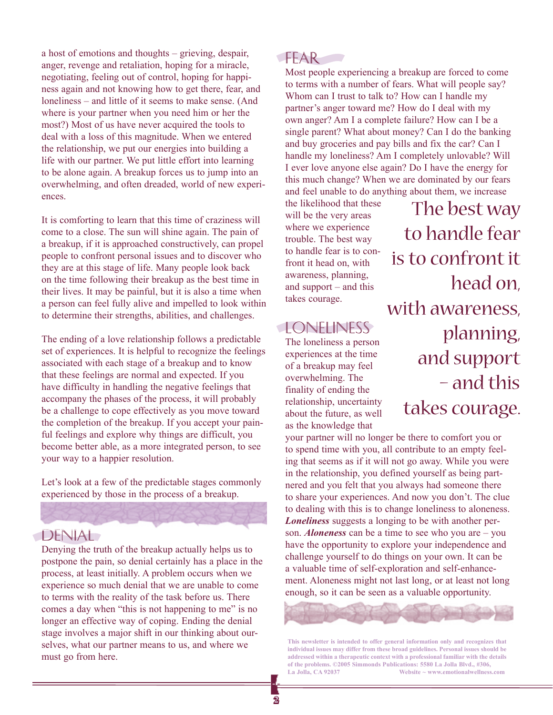a host of emotions and thoughts – grieving, despair, anger, revenge and retaliation, hoping for a miracle, negotiating, feeling out of control, hoping for happiness again and not knowing how to get there, fear, and loneliness – and little of it seems to make sense. (And where is your partner when you need him or her the most?) Most of us have never acquired the tools to deal with a loss of this magnitude. When we entered the relationship, we put our energies into building a life with our partner. We put little effort into learning to be alone again. A breakup forces us to jump into an overwhelming, and often dreaded, world of new experiences.

It is comforting to learn that this time of craziness will come to a close. The sun will shine again. The pain of a breakup, if it is approached constructively, can propel people to confront personal issues and to discover who they are at this stage of life. Many people look back on the time following their breakup as the best time in their lives. It may be painful, but it is also a time when a person can feel fully alive and impelled to look within to determine their strengths, abilities, and challenges.

The ending of a love relationship follows a predictable set of experiences. It is helpful to recognize the feelings associated with each stage of a breakup and to know that these feelings are normal and expected. If you have difficulty in handling the negative feelings that accompany the phases of the process, it will probably be a challenge to cope effectively as you move toward the completion of the breakup. If you accept your painful feelings and explore why things are difficult, you become better able, as a more integrated person, to see your way to a happier resolution.

Let's look at a few of the predictable stages commonly experienced by those in the process of a breakup.

#### **DENIAL**

Denying the truth of the breakup actually helps us to postpone the pain, so denial certainly has a place in the process, at least initially. A problem occurs when we experience so much denial that we are unable to come to terms with the reality of the task before us. There comes a day when "this is not happening to me" is no longer an effective way of coping. Ending the denial stage involves a major shift in our thinking about ourselves, what our partner means to us, and where we must go from here.

#### FFAR-

Most people experiencing a breakup are forced to come to terms with a number of fears. What will people say? Whom can I trust to talk to? How can I handle my partner's anger toward me? How do I deal with my own anger? Am I a complete failure? How can I be a single parent? What about money? Can I do the banking and buy groceries and pay bills and fix the car? Can I handle my loneliness? Am I completely unlovable? Will I ever love anyone else again? Do I have the energy for this much change? When we are dominated by our fears and feel unable to do anything about them, we increase

the likelihood that these will be the very areas where we experience trouble. The best way to handle fear is to confront it head on, with awareness, planning, and support – and this takes courage.

### Loneliness

The loneliness a person experiences at the time of a breakup may feel overwhelming. The finality of ending the relationship, uncertainty about the future, as well as the knowledge that

The best way to handle fear is to confront it head on, with awareness, planning, and support – and this takes courage.

your partner will no longer be there to comfort you or to spend time with you, all contribute to an empty feeling that seems as if it will not go away. While you were in the relationship, you defined yourself as being partnered and you felt that you always had someone there to share your experiences. And now you don't. The clue to dealing with this is to change loneliness to aloneness. *Loneliness* suggests a longing to be with another person. *Aloneness* can be a time to see who you are – you have the opportunity to explore your independence and challenge yourself to do things on your own. It can be a valuable time of self-exploration and self-enhancement. Aloneness might not last long, or at least not long enough, so it can be seen as a valuable opportunity.



**This newsletter is intended to offer general information only and recognizes that individual issues may differ from these broad guidelines. Personal issues should be addressed within a therapeutic context with a professional familiar with the details of the problems. ©2005 Simmonds Publications: 5580 La Jolla Blvd., #306, La Jolla, CA 92037 Website ~ www.emotionalwellness.com**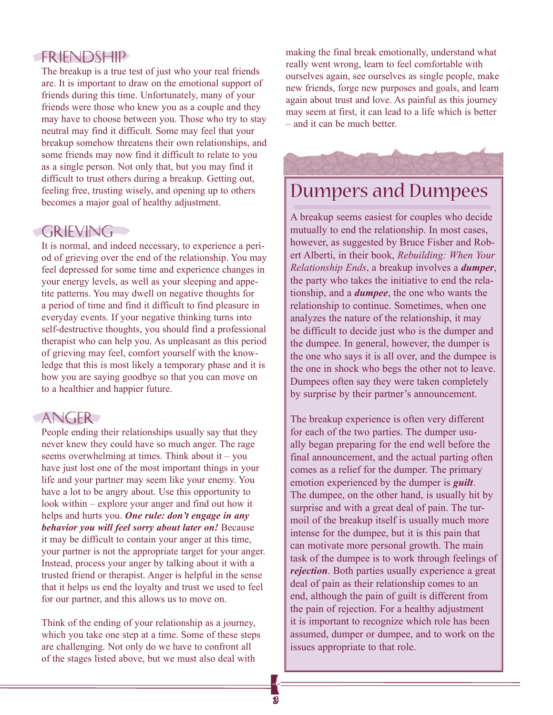#### Friendship

The breakup is a true test of just who your real friends are. It is important to draw on the emotional support of friends during this time. Unfortunately, many of your friends were those who knew you as a couple and they may have to choose between you. Those who try to stay neutral may find it difficult. Some may feel that your breakup somehow threatens their own relationships, and some friends may now find it difficult to relate to you as a single person. Not only that, but you may find it difficult to trust others during a breakup. Getting out, feeling free, trusting wisely, and opening up to others becomes a major goal of healthy adjustment.

#### **GRIEVING**

It is normal, and indeed necessary, to experience a period of grieving over the end of the relationship. You may feel depressed for some time and experience changes in your energy levels, as well as your sleeping and appetite patterns. You may dwell on negative thoughts for a period of time and find it difficult to find pleasure in everyday events. If your negative thinking turns into self-destructive thoughts, you should find a professional therapist who can help you. As unpleasant as this period of grieving may feel, comfort yourself with the knowledge that this is most likely a temporary phase and it is how you are saying goodbye so that you can move on to a healthier and happier future.

#### ANGER

People ending their relationships usually say that they never knew they could have so much anger. The rage seems overwhelming at times. Think about it – you have just lost one of the most important things in your life and your partner may seem like your enemy. You have a lot to be angry about. Use this opportunity to look within – explore your anger and find out how it helps and hurts you. *One rule: don't engage in any behavior you will feel sorry about later on!* Because it may be difficult to contain your anger at this time, your partner is not the appropriate target for your anger. Instead, process your anger by talking about it with a trusted friend or therapist. Anger is helpful in the sense that it helps us end the loyalty and trust we used to feel for our partner, and this allows us to move on.

Think of the ending of your relationship as a journey, which you take one step at a time. Some of these steps are challenging. Not only do we have to confront all of the stages listed above, but we must also deal with

making the final break emotionally, understand what really went wrong, learn to feel comfortable with ourselves again, see ourselves as single people, make new friends, forge new purposes and goals, and learn again about trust and love. As painful as this journey may seem at first, it can lead to a life which is better – and it can be much better.

## Dumpers and Dumpees

A breakup seems easiest for couples who decide mutually to end the relationship. In most cases, however, as suggested by Bruce Fisher and Robert Alberti, in their book, *Rebuilding: When Your Relationship Ends*, a breakup involves a *dumper*, the party who takes the initiative to end the relationship, and a *dumpee*, the one who wants the relationship to continue. Sometimes, when one analyzes the nature of the relationship, it may be difficult to decide just who is the dumper and the dumpee. In general, however, the dumper is the one who says it is all over, and the dumpee is the one in shock who begs the other not to leave. Dumpees often say they were taken completely by surprise by their partner's announcement.

The breakup experience is often very different for each of the two parties. The dumper usually began preparing for the end well before the final announcement, and the actual parting often comes as a relief for the dumper. The primary emotion experienced by the dumper is *guilt*. The dumpee, on the other hand, is usually hit by surprise and with a great deal of pain. The turmoil of the breakup itself is usually much more intense for the dumpee, but it is this pain that can motivate more personal growth. The main task of the dumpee is to work through feelings of *rejection*. Both parties usually experience a great deal of pain as their relationship comes to an end, although the pain of guilt is different from the pain of rejection. For a healthy adjustment it is important to recognize which role has been assumed, dumper or dumpee, and to work on the issues appropriate to that role.